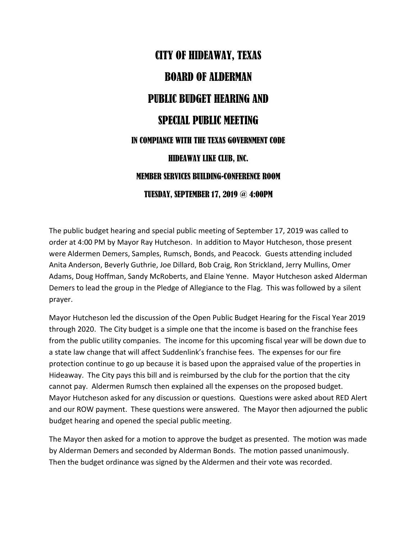## CITY OF HIDEAWAY, TEXAS BOARD OF ALDERMAN PUBLIC BUDGET HEARING AND SPECIAL PUBLIC MEETING IN COMPIANCE WITH THE TEXAS GOVERNMENT CODE HIDEAWAY LIKE CLUB, INC. MEMBER SERVICES BUILDING-CONFERENCE ROOM TUESDAY, SEPTEMBER 17, 2019 @ 4:00PM

The public budget hearing and special public meeting of September 17, 2019 was called to order at 4:00 PM by Mayor Ray Hutcheson. In addition to Mayor Hutcheson, those present were Aldermen Demers, Samples, Rumsch, Bonds, and Peacock. Guests attending included Anita Anderson, Beverly Guthrie, Joe Dillard, Bob Craig, Ron Strickland, Jerry Mullins, Omer Adams, Doug Hoffman, Sandy McRoberts, and Elaine Yenne. Mayor Hutcheson asked Alderman Demers to lead the group in the Pledge of Allegiance to the Flag. This was followed by a silent prayer.

Mayor Hutcheson led the discussion of the Open Public Budget Hearing for the Fiscal Year 2019 through 2020. The City budget is a simple one that the income is based on the franchise fees from the public utility companies. The income for this upcoming fiscal year will be down due to a state law change that will affect Suddenlink's franchise fees. The expenses for our fire protection continue to go up because it is based upon the appraised value of the properties in Hideaway. The City pays this bill and is reimbursed by the club for the portion that the city cannot pay. Aldermen Rumsch then explained all the expenses on the proposed budget. Mayor Hutcheson asked for any discussion or questions. Questions were asked about RED Alert and our ROW payment. These questions were answered. The Mayor then adjourned the public budget hearing and opened the special public meeting.

The Mayor then asked for a motion to approve the budget as presented. The motion was made by Alderman Demers and seconded by Alderman Bonds. The motion passed unanimously. Then the budget ordinance was signed by the Aldermen and their vote was recorded.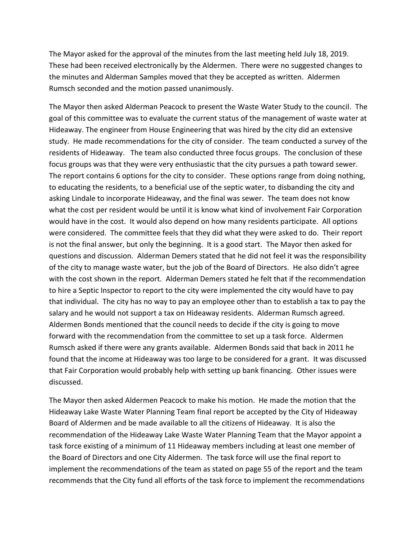The Mayor asked for the approval of the minutes from the last meeting held July 18, 2019. These had been received electronically by the Aldermen. There were no suggested changes to the minutes and Alderman Samples moved that they be accepted as written. Aldermen Rumsch seconded and the motion passed unanimously.

The Mayor then asked Alderman Peacock to present the Waste Water Study to the council. The goal of this committee was to evaluate the current status of the management of waste water at Hideaway. The engineer from House Engineering that was hired by the city did an extensive study. He made recommendations for the city of consider. The team conducted a survey of the residents of Hideaway. The team also conducted three focus groups. The conclusion of these focus groups was that they were very enthusiastic that the city pursues a path toward sewer. The report contains 6 options for the city to consider. These options range from doing nothing, to educating the residents, to a beneficial use of the septic water, to disbanding the city and asking Lindale to incorporate Hideaway, and the final was sewer. The team does not know what the cost per resident would be until it is know what kind of involvement Fair Corporation would have in the cost. It would also depend on how many residents participate. All options were considered. The committee feels that they did what they were asked to do. Their report is not the final answer, but only the beginning. It is a good start. The Mayor then asked for questions and discussion. Alderman Demers stated that he did not feel it was the responsibility of the city to manage waste water, but the job of the Board of Directors. He also didn't agree with the cost shown in the report. Alderman Demers stated he felt that if the recommendation to hire a Septic Inspector to report to the city were implemented the city would have to pay that individual. The city has no way to pay an employee other than to establish a tax to pay the salary and he would not support a tax on Hideaway residents. Alderman Rumsch agreed. Aldermen Bonds mentioned that the council needs to decide if the city is going to move forward with the recommendation from the committee to set up a task force. Aldermen Rumsch asked if there were any grants available. Aldermen Bonds said that back in 2011 he found that the income at Hideaway was too large to be considered for a grant. It was discussed that Fair Corporation would probably help with setting up bank financing. Other issues were discussed.

The Mayor then asked Aldermen Peacock to make his motion. He made the motion that the Hideaway Lake Waste Water Planning Team final report be accepted by the City of Hideaway Board of Aldermen and be made available to all the citizens of Hideaway. It is also the recommendation of the Hideaway Lake Waste Water Planning Team that the Mayor appoint a task force existing of a minimum of 11 Hideaway members including at least one member of the Board of Directors and one City Aldermen. The task force will use the final report to implement the recommendations of the team as stated on page 55 of the report and the team recommends that the City fund all efforts of the task force to implement the recommendations